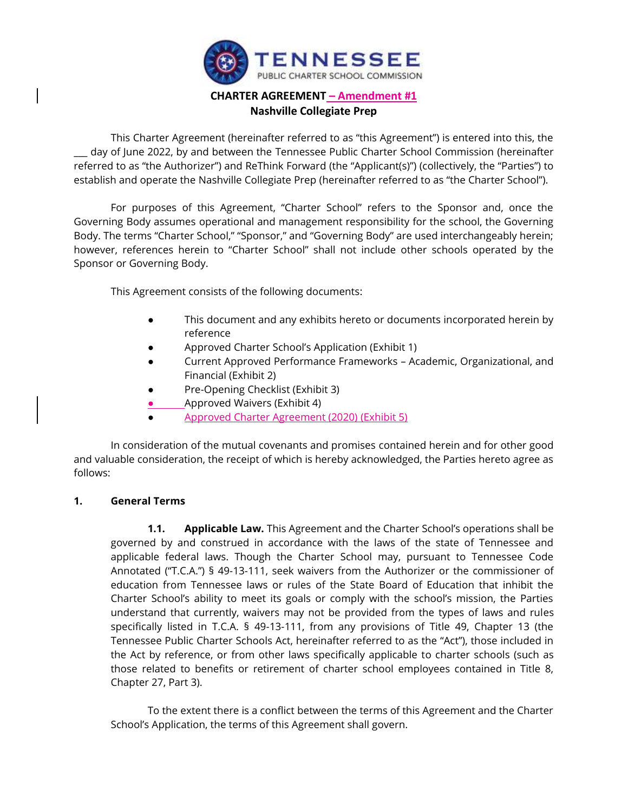

# **CHARTER AGREEMENT – Amendment #1 Nashville Collegiate Prep**

This Charter Agreement (hereinafter referred to as "this Agreement") is entered into this, the \_\_\_ day of June 2022, by and between the Tennessee Public Charter School Commission (hereinafter referred to as "the Authorizer") and ReThink Forward (the "Applicant(s)") (collectively, the "Parties") to establish and operate the Nashville Collegiate Prep (hereinafter referred to as "the Charter School").

For purposes of this Agreement, "Charter School" refers to the Sponsor and, once the Governing Body assumes operational and management responsibility for the school, the Governing Body. The terms "Charter School," "Sponsor," and "Governing Body" are used interchangeably herein; however, references herein to "Charter School" shall not include other schools operated by the Sponsor or Governing Body.

This Agreement consists of the following documents:

- This document and any exhibits hereto or documents incorporated herein by reference
- Approved Charter School's Application (Exhibit 1)
- Current Approved Performance Frameworks Academic, Organizational, and Financial (Exhibit 2)
- Pre-Opening Checklist (Exhibit 3)
- Approved Waivers (Exhibit 4)
- Approved Charter Agreement (2020) (Exhibit 5)

In consideration of the mutual covenants and promises contained herein and for other good and valuable consideration, the receipt of which is hereby acknowledged, the Parties hereto agree as follows:

#### **1. General Terms**

**1.1. Applicable Law.** This Agreement and the Charter School's operations shall be governed by and construed in accordance with the laws of the state of Tennessee and applicable federal laws. Though the Charter School may, pursuant to Tennessee Code Annotated ("T.C.A.") § 49-13-111, seek waivers from the Authorizer or the commissioner of education from Tennessee laws or rules of the State Board of Education that inhibit the Charter School's ability to meet its goals or comply with the school's mission, the Parties understand that currently, waivers may not be provided from the types of laws and rules specifically listed in T.C.A. § 49-13-111, from any provisions of Title 49, Chapter 13 (the Tennessee Public Charter Schools Act, hereinafter referred to as the "Act"), those included in the Act by reference, or from other laws specifically applicable to charter schools (such as those related to benefits or retirement of charter school employees contained in Title 8, Chapter 27, Part 3).

To the extent there is a conflict between the terms of this Agreement and the Charter School's Application, the terms of this Agreement shall govern.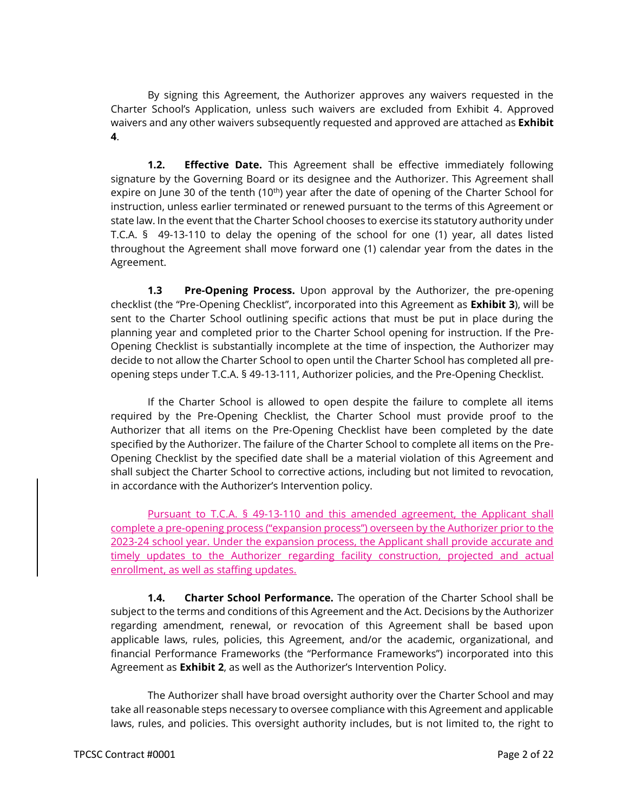By signing this Agreement, the Authorizer approves any waivers requested in the Charter School's Application, unless such waivers are excluded from Exhibit 4. Approved waivers and any other waivers subsequently requested and approved are attached as **Exhibit 4**.

**1.2. Effective Date.** This Agreement shall be effective immediately following signature by the Governing Board or its designee and the Authorizer. This Agreement shall expire on June 30 of the tenth (10<sup>th</sup>) year after the date of opening of the Charter School for instruction, unless earlier terminated or renewed pursuant to the terms of this Agreement or state law. In the event that the Charter School chooses to exercise its statutory authority under T.C.A. § 49-13-110 to delay the opening of the school for one (1) year, all dates listed throughout the Agreement shall move forward one (1) calendar year from the dates in the Agreement.

**1.3 Pre-Opening Process.** Upon approval by the Authorizer, the pre-opening checklist (the "Pre-Opening Checklist", incorporated into this Agreement as **Exhibit 3**), will be sent to the Charter School outlining specific actions that must be put in place during the planning year and completed prior to the Charter School opening for instruction. If the Pre-Opening Checklist is substantially incomplete at the time of inspection, the Authorizer may decide to not allow the Charter School to open until the Charter School has completed all preopening steps under T.C.A. § 49-13-111, Authorizer policies, and the Pre-Opening Checklist.

If the Charter School is allowed to open despite the failure to complete all items required by the Pre-Opening Checklist, the Charter School must provide proof to the Authorizer that all items on the Pre-Opening Checklist have been completed by the date specified by the Authorizer. The failure of the Charter School to complete all items on the Pre-Opening Checklist by the specified date shall be a material violation of this Agreement and shall subject the Charter School to corrective actions, including but not limited to revocation, in accordance with the Authorizer's Intervention policy.

Pursuant to T.C.A. § 49-13-110 and this amended agreement, the Applicant shall complete a pre-opening process ("expansion process") overseen by the Authorizer prior to the 2023-24 school year. Under the expansion process, the Applicant shall provide accurate and timely updates to the Authorizer regarding facility construction, projected and actual enrollment, as well as staffing updates.

**1.4. Charter School Performance.** The operation of the Charter School shall be subject to the terms and conditions of this Agreement and the Act. Decisions by the Authorizer regarding amendment, renewal, or revocation of this Agreement shall be based upon applicable laws, rules, policies, this Agreement, and/or the academic, organizational, and financial Performance Frameworks (the "Performance Frameworks") incorporated into this Agreement as **Exhibit 2**, as well as the Authorizer's Intervention Policy.

The Authorizer shall have broad oversight authority over the Charter School and may take all reasonable steps necessary to oversee compliance with this Agreement and applicable laws, rules, and policies. This oversight authority includes, but is not limited to, the right to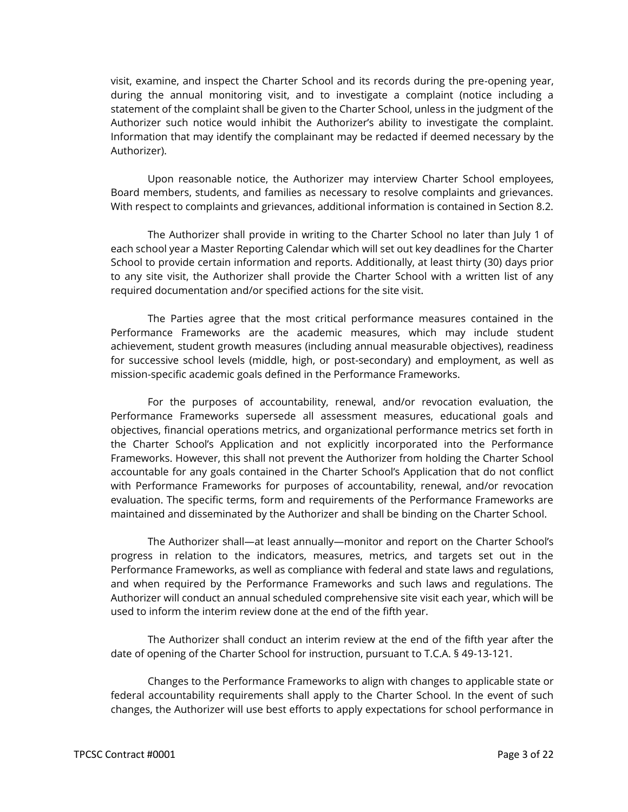visit, examine, and inspect the Charter School and its records during the pre-opening year, during the annual monitoring visit, and to investigate a complaint (notice including a statement of the complaint shall be given to the Charter School, unless in the judgment of the Authorizer such notice would inhibit the Authorizer's ability to investigate the complaint. Information that may identify the complainant may be redacted if deemed necessary by the Authorizer).

Upon reasonable notice, the Authorizer may interview Charter School employees, Board members, students, and families as necessary to resolve complaints and grievances. With respect to complaints and grievances, additional information is contained in Section 8.2.

The Authorizer shall provide in writing to the Charter School no later than July 1 of each school year a Master Reporting Calendar which will set out key deadlines for the Charter School to provide certain information and reports. Additionally, at least thirty (30) days prior to any site visit, the Authorizer shall provide the Charter School with a written list of any required documentation and/or specified actions for the site visit.

The Parties agree that the most critical performance measures contained in the Performance Frameworks are the academic measures, which may include student achievement, student growth measures (including annual measurable objectives), readiness for successive school levels (middle, high, or post-secondary) and employment, as well as mission-specific academic goals defined in the Performance Frameworks.

For the purposes of accountability, renewal, and/or revocation evaluation, the Performance Frameworks supersede all assessment measures, educational goals and objectives, financial operations metrics, and organizational performance metrics set forth in the Charter School's Application and not explicitly incorporated into the Performance Frameworks. However, this shall not prevent the Authorizer from holding the Charter School accountable for any goals contained in the Charter School's Application that do not conflict with Performance Frameworks for purposes of accountability, renewal, and/or revocation evaluation. The specific terms, form and requirements of the Performance Frameworks are maintained and disseminated by the Authorizer and shall be binding on the Charter School.

The Authorizer shall—at least annually—monitor and report on the Charter School's progress in relation to the indicators, measures, metrics, and targets set out in the Performance Frameworks, as well as compliance with federal and state laws and regulations, and when required by the Performance Frameworks and such laws and regulations. The Authorizer will conduct an annual scheduled comprehensive site visit each year, which will be used to inform the interim review done at the end of the fifth year.

The Authorizer shall conduct an interim review at the end of the fifth year after the date of opening of the Charter School for instruction, pursuant to T.C.A. § 49-13-121.

Changes to the Performance Frameworks to align with changes to applicable state or federal accountability requirements shall apply to the Charter School. In the event of such changes, the Authorizer will use best efforts to apply expectations for school performance in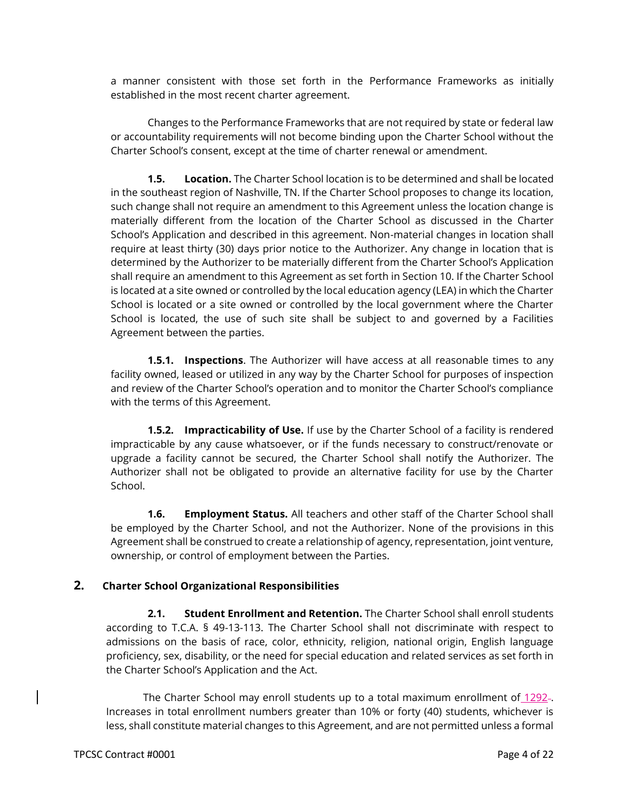a manner consistent with those set forth in the Performance Frameworks as initially established in the most recent charter agreement.

Changes to the Performance Frameworks that are not required by state or federal law or accountability requirements will not become binding upon the Charter School without the Charter School's consent, except at the time of charter renewal or amendment.

**1.5. Location.** The Charter School location is to be determined and shall be located in the southeast region of Nashville, TN. If the Charter School proposes to change its location, such change shall not require an amendment to this Agreement unless the location change is materially different from the location of the Charter School as discussed in the Charter School's Application and described in this agreement. Non-material changes in location shall require at least thirty (30) days prior notice to the Authorizer. Any change in location that is determined by the Authorizer to be materially different from the Charter School's Application shall require an amendment to this Agreement as set forth in Section 10. If the Charter School is located at a site owned or controlled by the local education agency (LEA) in which the Charter School is located or a site owned or controlled by the local government where the Charter School is located, the use of such site shall be subject to and governed by a Facilities Agreement between the parties.

**1.5.1. Inspections**. The Authorizer will have access at all reasonable times to any facility owned, leased or utilized in any way by the Charter School for purposes of inspection and review of the Charter School's operation and to monitor the Charter School's compliance with the terms of this Agreement.

**1.5.2. Impracticability of Use.** If use by the Charter School of a facility is rendered impracticable by any cause whatsoever, or if the funds necessary to construct/renovate or upgrade a facility cannot be secured, the Charter School shall notify the Authorizer. The Authorizer shall not be obligated to provide an alternative facility for use by the Charter School.

**1.6. Employment Status.** All teachers and other staff of the Charter School shall be employed by the Charter School, and not the Authorizer. None of the provisions in this Agreement shall be construed to create a relationship of agency, representation, joint venture, ownership, or control of employment between the Parties.

# **2. Charter School Organizational Responsibilities**

**2.1. Student Enrollment and Retention.** The Charter School shall enroll students according to T.C.A. § 49-13-113. The Charter School shall not discriminate with respect to admissions on the basis of race, color, ethnicity, religion, national origin, English language proficiency, sex, disability, or the need for special education and related services as set forth in the Charter School's Application and the Act.

The Charter School may enroll students up to a total maximum enrollment of 1292-Increases in total enrollment numbers greater than 10% or forty (40) students, whichever is less, shall constitute material changes to this Agreement, and are not permitted unless a formal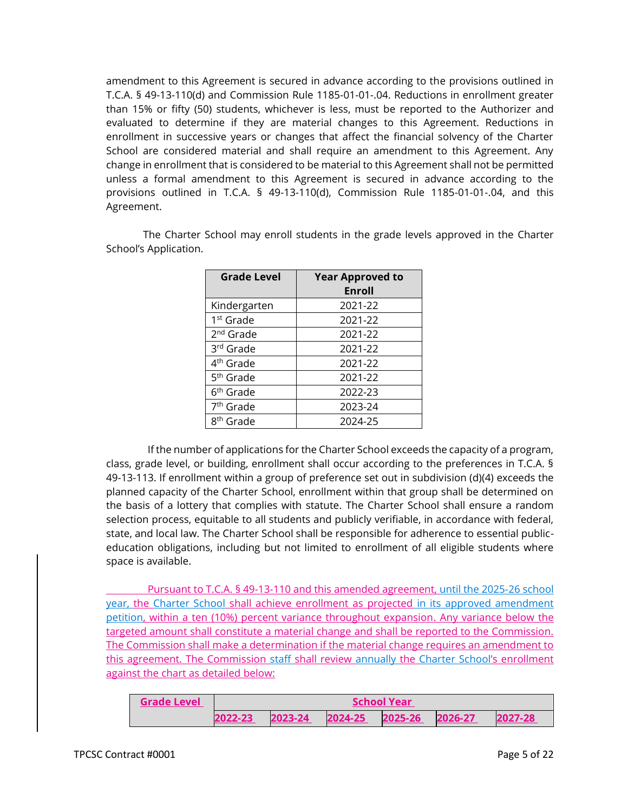amendment to this Agreement is secured in advance according to the provisions outlined in T.C.A. § 49-13-110(d) and Commission Rule 1185-01-01-.04. Reductions in enrollment greater than 15% or fifty (50) students, whichever is less, must be reported to the Authorizer and evaluated to determine if they are material changes to this Agreement. Reductions in enrollment in successive years or changes that affect the financial solvency of the Charter School are considered material and shall require an amendment to this Agreement. Any change in enrollment that is considered to be material to this Agreement shall not be permitted unless a formal amendment to this Agreement is secured in advance according to the provisions outlined in T.C.A. § 49-13-110(d), Commission Rule 1185-01-01-.04, and this Agreement.

The Charter School may enroll students in the grade levels approved in the Charter School's Application.

| <b>Grade Level</b>    | <b>Year Approved to</b><br>Enroll |
|-----------------------|-----------------------------------|
| Kindergarten          | 2021-22                           |
| 1 <sup>st</sup> Grade | 2021-22                           |
| 2 <sup>nd</sup> Grade | 2021-22                           |
| 3rd Grade             | 2021-22                           |
| 4 <sup>th</sup> Grade | 2021-22                           |
| 5 <sup>th</sup> Grade | 2021-22                           |
| 6 <sup>th</sup> Grade | 2022-23                           |
| 7 <sup>th</sup> Grade | 2023-24                           |
| 8 <sup>th</sup> Grade | 2024-25                           |

If the number of applications for the Charter School exceeds the capacity of a program, class, grade level, or building, enrollment shall occur according to the preferences in T.C.A. § 49-13-113. If enrollment within a group of preference set out in subdivision (d)(4) exceeds the planned capacity of the Charter School, enrollment within that group shall be determined on the basis of a lottery that complies with statute. The Charter School shall ensure a random selection process, equitable to all students and publicly verifiable, in accordance with federal, state, and local law. The Charter School shall be responsible for adherence to essential publiceducation obligations, including but not limited to enrollment of all eligible students where space is available.

Pursuant to T.C.A. § 49-13-110 and this amended agreement, until the 2025-26 school year, the Charter School shall achieve enrollment as projected in its approved amendment petition, within a ten (10%) percent variance throughout expansion. Any variance below the targeted amount shall constitute a material change and shall be reported to the Commission. The Commission shall make a determination if the material change requires an amendment to this agreement. The Commission staff shall review annually the Charter School's enrollment against the chart as detailed below:

| <b>Grade Level</b> | <b>School Year</b> |         |         |         |         |         |
|--------------------|--------------------|---------|---------|---------|---------|---------|
|                    | 2022-23            | 2023-24 | 2024-25 | 2025-26 | 2026-27 | 2027-28 |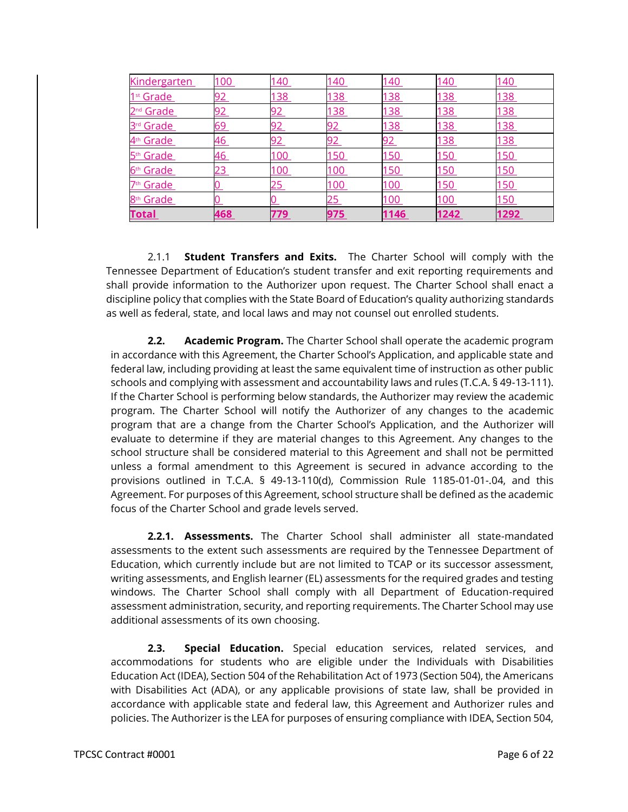| <b>Kindergarten</b>   | <u> 100</u> | 140         | <u> 140</u>  | <u> 140</u> | <u> 140</u>  | <u> 140</u>   |
|-----------------------|-------------|-------------|--------------|-------------|--------------|---------------|
| I <sup>st</sup> Grade | 92          | <u>138 </u> | <u>138.</u>  | <u>138</u>  | <u> 138 </u> | <u>138</u>    |
| Grade                 | 92          | 92          | <u> 138 </u> | <u>138</u>  | <u> 138 </u> | <u>138</u>    |
| 3 <sup>rd</sup> Grade | <u>69</u>   | 92          | 92           | <u>138</u>  | <u>38</u>    | <u>138</u>    |
| 4 <sup>th</sup> Grade | <u>46</u>   | 92          | 92           | 92          | <u> 138</u>  | <u>138</u>    |
| 5 <sup>th</sup> Grade | 46          | <u>100</u>  | <u>50</u>    | <u>150</u>  | <u> 150</u>  | <u>150</u>    |
| <u> 6th Grade </u>    | 23          | <u>100</u>  | <u> 100</u>  | <u>150</u>  | <u>150</u>   | <u>150</u>    |
| Grade<br>7th          |             | <u> 25</u>  | <u> 100</u>  | 100         | <u> 150</u>  | <u>150</u>    |
| 8 <sup>th</sup> Grade |             |             | 25           | <u>100</u>  | 100          | <u>150</u>    |
| <u>Total</u>          | <u>468</u>  | <u>779 </u> | <u>975</u>   | <b>1146</b> | 1242         | <u> 1292 </u> |

2.1.1 **Student Transfers and Exits.** The Charter School will comply with the Tennessee Department of Education's student transfer and exit reporting requirements and shall provide information to the Authorizer upon request. The Charter School shall enact a discipline policy that complies with the State Board of Education's quality authorizing standards as well as federal, state, and local laws and may not counsel out enrolled students.

**2.2. Academic Program.** The Charter School shall operate the academic program in accordance with this Agreement, the Charter School's Application, and applicable state and federal law, including providing at least the same equivalent time of instruction as other public schools and complying with assessment and accountability laws and rules (T.C.A. § 49-13-111). If the Charter School is performing below standards, the Authorizer may review the academic program. The Charter School will notify the Authorizer of any changes to the academic program that are a change from the Charter School's Application, and the Authorizer will evaluate to determine if they are material changes to this Agreement. Any changes to the school structure shall be considered material to this Agreement and shall not be permitted unless a formal amendment to this Agreement is secured in advance according to the provisions outlined in T.C.A. § 49-13-110(d), Commission Rule 1185-01-01-.04, and this Agreement. For purposes of this Agreement, school structure shall be defined as the academic focus of the Charter School and grade levels served.

**2.2.1. Assessments.** The Charter School shall administer all state-mandated assessments to the extent such assessments are required by the Tennessee Department of Education, which currently include but are not limited to TCAP or its successor assessment, writing assessments, and English learner (EL) assessments for the required grades and testing windows. The Charter School shall comply with all Department of Education-required assessment administration, security, and reporting requirements. The Charter School may use additional assessments of its own choosing.

**2.3. Special Education.** Special education services, related services, and accommodations for students who are eligible under the Individuals with Disabilities Education Act (IDEA), Section 504 of the Rehabilitation Act of 1973 (Section 504), the Americans with Disabilities Act (ADA), or any applicable provisions of state law, shall be provided in accordance with applicable state and federal law, this Agreement and Authorizer rules and policies. The Authorizer is the LEA for purposes of ensuring compliance with IDEA, Section 504,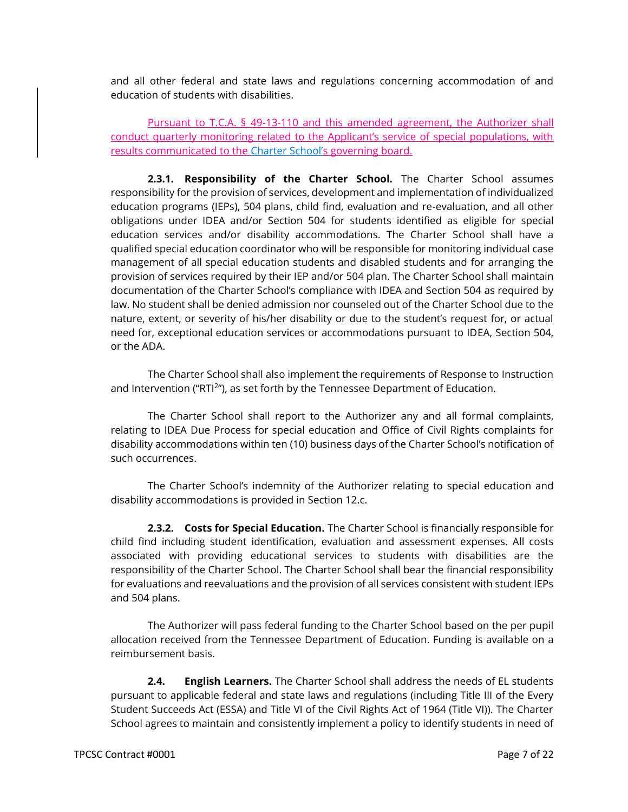and all other federal and state laws and regulations concerning accommodation of and education of students with disabilities.

Pursuant to T.C.A. § 49-13-110 and this amended agreement, the Authorizer shall conduct quarterly monitoring related to the Applicant's service of special populations, with results communicated to the Charter School's governing board.

**2.3.1. Responsibility of the Charter School.** The Charter School assumes responsibility for the provision of services, development and implementation of individualized education programs (IEPs), 504 plans, child find, evaluation and re-evaluation, and all other obligations under IDEA and/or Section 504 for students identified as eligible for special education services and/or disability accommodations. The Charter School shall have a qualified special education coordinator who will be responsible for monitoring individual case management of all special education students and disabled students and for arranging the provision of services required by their IEP and/or 504 plan. The Charter School shall maintain documentation of the Charter School's compliance with IDEA and Section 504 as required by law. No student shall be denied admission nor counseled out of the Charter School due to the nature, extent, or severity of his/her disability or due to the student's request for, or actual need for, exceptional education services or accommodations pursuant to IDEA, Section 504, or the ADA.

The Charter School shall also implement the requirements of Response to Instruction and Intervention ("RTI<sup>2</sup>"), as set forth by the Tennessee Department of Education.

The Charter School shall report to the Authorizer any and all formal complaints, relating to IDEA Due Process for special education and Office of Civil Rights complaints for disability accommodations within ten (10) business days of the Charter School's notification of such occurrences.

The Charter School's indemnity of the Authorizer relating to special education and disability accommodations is provided in Section 12.c.

**2.3.2. Costs for Special Education.** The Charter School is financially responsible for child find including student identification, evaluation and assessment expenses. All costs associated with providing educational services to students with disabilities are the responsibility of the Charter School. The Charter School shall bear the financial responsibility for evaluations and reevaluations and the provision of all services consistent with student IEPs and 504 plans.

The Authorizer will pass federal funding to the Charter School based on the per pupil allocation received from the Tennessee Department of Education. Funding is available on a reimbursement basis.

**2.4. English Learners.** The Charter School shall address the needs of EL students pursuant to applicable federal and state laws and regulations (including Title III of the Every Student Succeeds Act (ESSA) and Title VI of the Civil Rights Act of 1964 (Title VI)). The Charter School agrees to maintain and consistently implement a policy to identify students in need of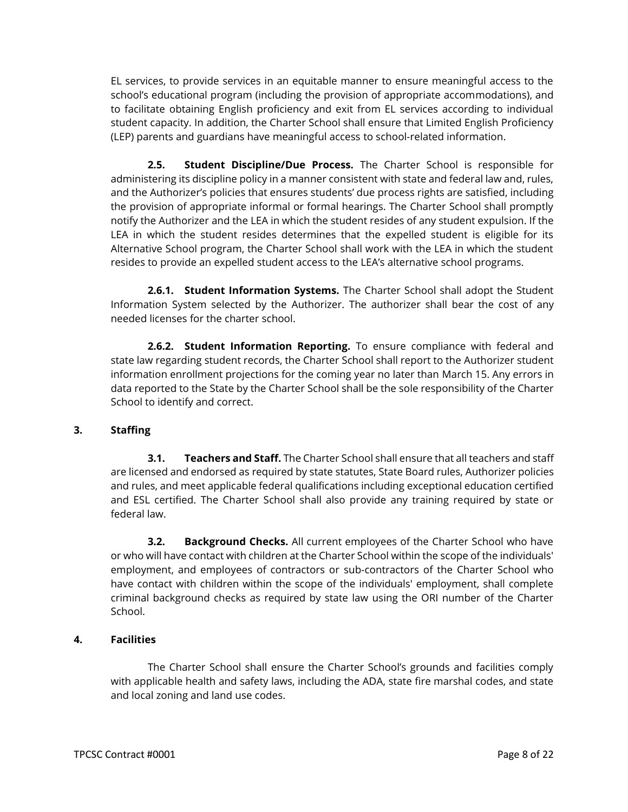EL services, to provide services in an equitable manner to ensure meaningful access to the school's educational program (including the provision of appropriate accommodations), and to facilitate obtaining English proficiency and exit from EL services according to individual student capacity. In addition, the Charter School shall ensure that Limited English Proficiency (LEP) parents and guardians have meaningful access to school-related information.

**2.5. Student Discipline/Due Process.** The Charter School is responsible for administering its discipline policy in a manner consistent with state and federal law and, rules, and the Authorizer's policies that ensures students' due process rights are satisfied, including the provision of appropriate informal or formal hearings. The Charter School shall promptly notify the Authorizer and the LEA in which the student resides of any student expulsion. If the LEA in which the student resides determines that the expelled student is eligible for its Alternative School program, the Charter School shall work with the LEA in which the student resides to provide an expelled student access to the LEA's alternative school programs.

**2.6.1. Student Information Systems.** The Charter School shall adopt the Student Information System selected by the Authorizer. The authorizer shall bear the cost of any needed licenses for the charter school.

**2.6.2. Student Information Reporting.** To ensure compliance with federal and state law regarding student records, the Charter School shall report to the Authorizer student information enrollment projections for the coming year no later than March 15. Any errors in data reported to the State by the Charter School shall be the sole responsibility of the Charter School to identify and correct.

# **3. Staffing**

**3.1. Teachers and Staff.** The Charter School shall ensure that all teachers and staff are licensed and endorsed as required by state statutes, State Board rules, Authorizer policies and rules, and meet applicable federal qualifications including exceptional education certified and ESL certified. The Charter School shall also provide any training required by state or federal law.

**3.2. Background Checks.** All current employees of the Charter School who have or who will have contact with children at the Charter School within the scope of the individuals' employment, and employees of contractors or sub-contractors of the Charter School who have contact with children within the scope of the individuals' employment, shall complete criminal background checks as required by state law using the ORI number of the Charter School.

#### **4. Facilities**

The Charter School shall ensure the Charter School's grounds and facilities comply with applicable health and safety laws, including the ADA, state fire marshal codes, and state and local zoning and land use codes.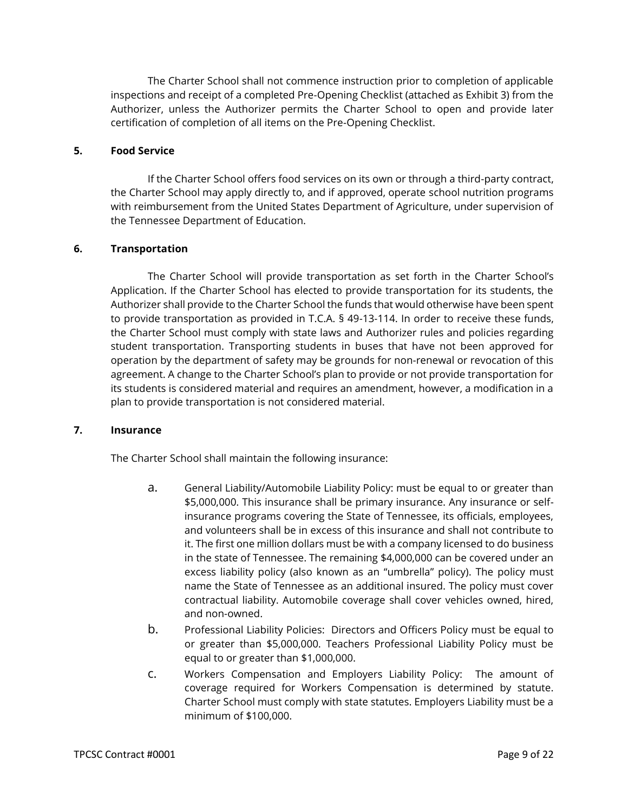The Charter School shall not commence instruction prior to completion of applicable inspections and receipt of a completed Pre-Opening Checklist (attached as Exhibit 3) from the Authorizer, unless the Authorizer permits the Charter School to open and provide later certification of completion of all items on the Pre-Opening Checklist.

### **5. Food Service**

If the Charter School offers food services on its own or through a third-party contract, the Charter School may apply directly to, and if approved, operate school nutrition programs with reimbursement from the United States Department of Agriculture, under supervision of the Tennessee Department of Education.

#### **6. Transportation**

The Charter School will provide transportation as set forth in the Charter School's Application. If the Charter School has elected to provide transportation for its students, the Authorizer shall provide to the Charter School the funds that would otherwise have been spent to provide transportation as provided in T.C.A. § 49-13-114. In order to receive these funds, the Charter School must comply with state laws and Authorizer rules and policies regarding student transportation. Transporting students in buses that have not been approved for operation by the department of safety may be grounds for non-renewal or revocation of this agreement. A change to the Charter School's plan to provide or not provide transportation for its students is considered material and requires an amendment, however, a modification in a plan to provide transportation is not considered material.

#### **7. Insurance**

The Charter School shall maintain the following insurance:

- a. General Liability/Automobile Liability Policy: must be equal to or greater than \$5,000,000. This insurance shall be primary insurance. Any insurance or selfinsurance programs covering the State of Tennessee, its officials, employees, and volunteers shall be in excess of this insurance and shall not contribute to it. The first one million dollars must be with a company licensed to do business in the state of Tennessee. The remaining \$4,000,000 can be covered under an excess liability policy (also known as an "umbrella" policy). The policy must name the State of Tennessee as an additional insured. The policy must cover contractual liability. Automobile coverage shall cover vehicles owned, hired, and non-owned.
- b. Professional Liability Policies: Directors and Officers Policy must be equal to or greater than \$5,000,000. Teachers Professional Liability Policy must be equal to or greater than \$1,000,000.
- c. Workers Compensation and Employers Liability Policy: The amount of coverage required for Workers Compensation is determined by statute. Charter School must comply with state statutes. Employers Liability must be a minimum of \$100,000.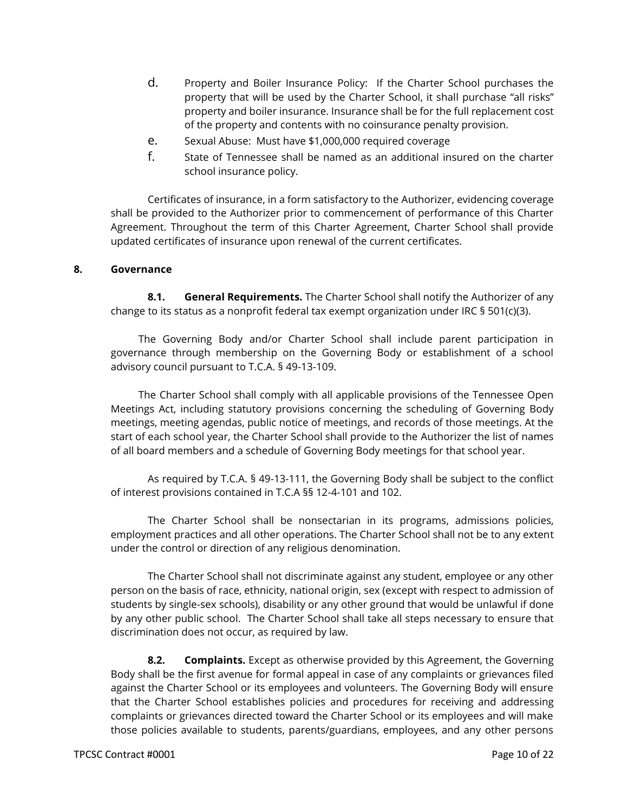- d. Property and Boiler Insurance Policy: If the Charter School purchases the property that will be used by the Charter School, it shall purchase "all risks" property and boiler insurance. Insurance shall be for the full replacement cost of the property and contents with no coinsurance penalty provision.
- e. Sexual Abuse: Must have \$1,000,000 required coverage
- f. State of Tennessee shall be named as an additional insured on the charter school insurance policy.

Certificates of insurance, in a form satisfactory to the Authorizer, evidencing coverage shall be provided to the Authorizer prior to commencement of performance of this Charter Agreement. Throughout the term of this Charter Agreement, Charter School shall provide updated certificates of insurance upon renewal of the current certificates.

#### **8. Governance**

**8.1. General Requirements.** The Charter School shall notify the Authorizer of any change to its status as a nonprofit federal tax exempt organization under IRC § 501(c)(3).

The Governing Body and/or Charter School shall include parent participation in governance through membership on the Governing Body or establishment of a school advisory council pursuant to T.C.A. § 49-13-109.

The Charter School shall comply with all applicable provisions of the Tennessee Open Meetings Act, including statutory provisions concerning the scheduling of Governing Body meetings, meeting agendas, public notice of meetings, and records of those meetings. At the start of each school year, the Charter School shall provide to the Authorizer the list of names of all board members and a schedule of Governing Body meetings for that school year.

As required by T.C.A. § 49-13-111, the Governing Body shall be subject to the conflict of interest provisions contained in T.C.A §§ 12-4-101 and 102.

The Charter School shall be nonsectarian in its programs, admissions policies, employment practices and all other operations. The Charter School shall not be to any extent under the control or direction of any religious denomination.

The Charter School shall not discriminate against any student, employee or any other person on the basis of race, ethnicity, national origin, sex (except with respect to admission of students by single-sex schools), disability or any other ground that would be unlawful if done by any other public school. The Charter School shall take all steps necessary to ensure that discrimination does not occur, as required by law.

**8.2. Complaints.** Except as otherwise provided by this Agreement, the Governing Body shall be the first avenue for formal appeal in case of any complaints or grievances filed against the Charter School or its employees and volunteers. The Governing Body will ensure that the Charter School establishes policies and procedures for receiving and addressing complaints or grievances directed toward the Charter School or its employees and will make those policies available to students, parents/guardians, employees, and any other persons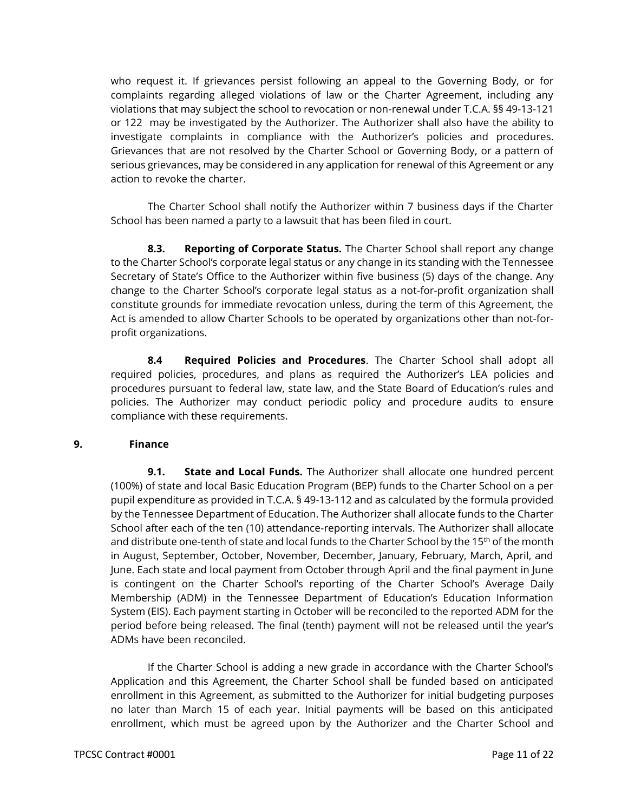who request it. If grievances persist following an appeal to the Governing Body, or for complaints regarding alleged violations of law or the Charter Agreement, including any violations that may subject the school to revocation or non-renewal under T.C.A. §§ 49-13-121 or 122 may be investigated by the Authorizer. The Authorizer shall also have the ability to investigate complaints in compliance with the Authorizer's policies and procedures. Grievances that are not resolved by the Charter School or Governing Body, or a pattern of serious grievances, may be considered in any application for renewal of this Agreement or any action to revoke the charter.

The Charter School shall notify the Authorizer within 7 business days if the Charter School has been named a party to a lawsuit that has been filed in court.

**8.3. Reporting of Corporate Status.** The Charter School shall report any change to the Charter School's corporate legal status or any change in its standing with the Tennessee Secretary of State's Office to the Authorizer within five business (5) days of the change. Any change to the Charter School's corporate legal status as a not-for-profit organization shall constitute grounds for immediate revocation unless, during the term of this Agreement, the Act is amended to allow Charter Schools to be operated by organizations other than not-forprofit organizations.

**8.4 Required Policies and Procedures**. The Charter School shall adopt all required policies, procedures, and plans as required the Authorizer's LEA policies and procedures pursuant to federal law, state law, and the State Board of Education's rules and policies. The Authorizer may conduct periodic policy and procedure audits to ensure compliance with these requirements.

#### **9. Finance**

**9.1.** State and Local Funds. The Authorizer shall allocate one hundred percent (100%) of state and local Basic Education Program (BEP) funds to the Charter School on a per pupil expenditure as provided in T.C.A. § 49-13-112 and as calculated by the formula provided by the Tennessee Department of Education. The Authorizer shall allocate funds to the Charter School after each of the ten (10) attendance-reporting intervals. The Authorizer shall allocate and distribute one-tenth of state and local funds to the Charter School by the 15<sup>th</sup> of the month in August, September, October, November, December, January, February, March, April, and June. Each state and local payment from October through April and the final payment in June is contingent on the Charter School's reporting of the Charter School's Average Daily Membership (ADM) in the Tennessee Department of Education's Education Information System (EIS). Each payment starting in October will be reconciled to the reported ADM for the period before being released. The final (tenth) payment will not be released until the year's ADMs have been reconciled.

If the Charter School is adding a new grade in accordance with the Charter School's Application and this Agreement, the Charter School shall be funded based on anticipated enrollment in this Agreement, as submitted to the Authorizer for initial budgeting purposes no later than March 15 of each year. Initial payments will be based on this anticipated enrollment, which must be agreed upon by the Authorizer and the Charter School and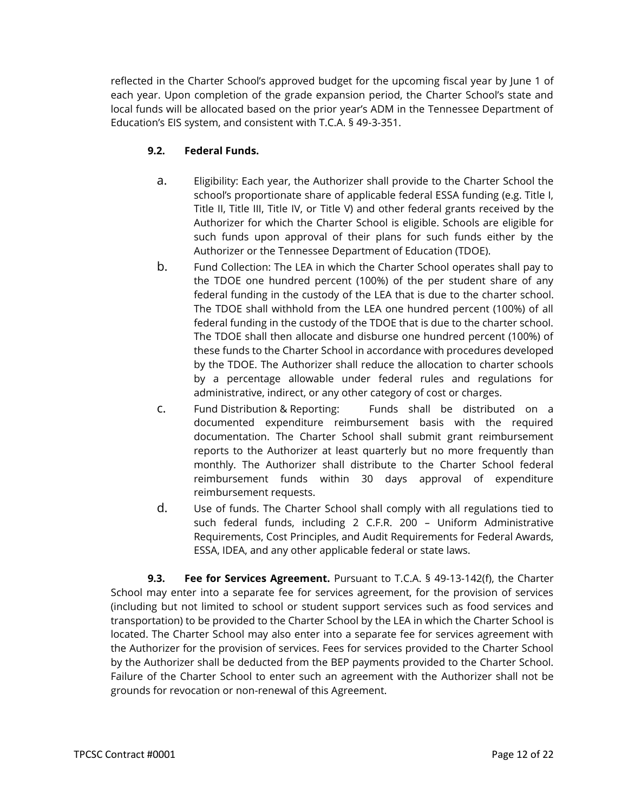reflected in the Charter School's approved budget for the upcoming fiscal year by June 1 of each year. Upon completion of the grade expansion period, the Charter School's state and local funds will be allocated based on the prior year's ADM in the Tennessee Department of Education's EIS system, and consistent with T.C.A. § 49-3-351.

# **9.2. Federal Funds.**

- a. Eligibility: Each year, the Authorizer shall provide to the Charter School the school's proportionate share of applicable federal ESSA funding (e.g. Title I, Title II, Title III, Title IV, or Title V) and other federal grants received by the Authorizer for which the Charter School is eligible. Schools are eligible for such funds upon approval of their plans for such funds either by the Authorizer or the Tennessee Department of Education (TDOE).
- b. Fund Collection: The LEA in which the Charter School operates shall pay to the TDOE one hundred percent (100%) of the per student share of any federal funding in the custody of the LEA that is due to the charter school. The TDOE shall withhold from the LEA one hundred percent (100%) of all federal funding in the custody of the TDOE that is due to the charter school. The TDOE shall then allocate and disburse one hundred percent (100%) of these funds to the Charter School in accordance with procedures developed by the TDOE. The Authorizer shall reduce the allocation to charter schools by a percentage allowable under federal rules and regulations for administrative, indirect, or any other category of cost or charges.
- c. Fund Distribution & Reporting: Funds shall be distributed on a documented expenditure reimbursement basis with the required documentation. The Charter School shall submit grant reimbursement reports to the Authorizer at least quarterly but no more frequently than monthly. The Authorizer shall distribute to the Charter School federal reimbursement funds within 30 days approval of expenditure reimbursement requests.
- d. Use of funds. The Charter School shall comply with all regulations tied to such federal funds, including 2 C.F.R. 200 – Uniform Administrative Requirements, Cost Principles, and Audit Requirements for Federal Awards, ESSA, IDEA, and any other applicable federal or state laws.

**9.3. Fee for Services Agreement.** Pursuant to T.C.A. § 49-13-142(f), the Charter School may enter into a separate fee for services agreement, for the provision of services (including but not limited to school or student support services such as food services and transportation) to be provided to the Charter School by the LEA in which the Charter School is located. The Charter School may also enter into a separate fee for services agreement with the Authorizer for the provision of services. Fees for services provided to the Charter School by the Authorizer shall be deducted from the BEP payments provided to the Charter School. Failure of the Charter School to enter such an agreement with the Authorizer shall not be grounds for revocation or non-renewal of this Agreement.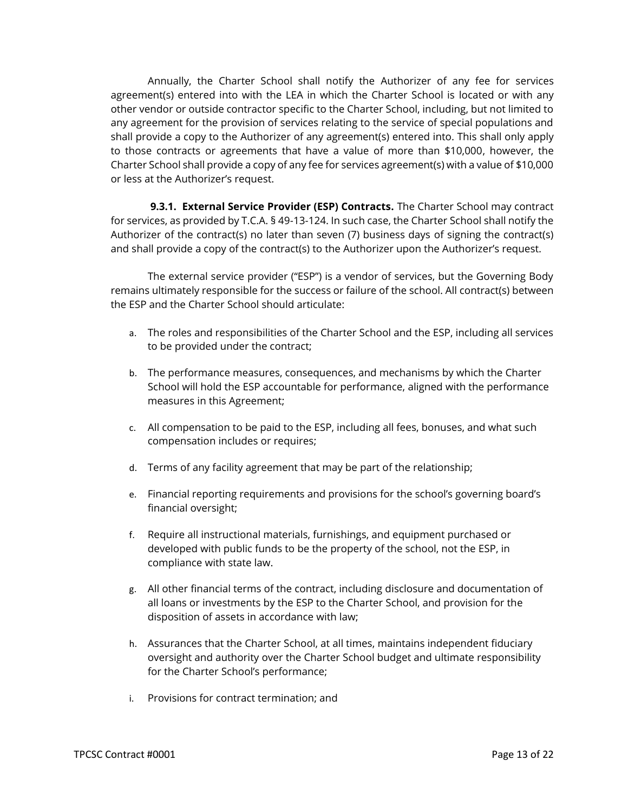Annually, the Charter School shall notify the Authorizer of any fee for services agreement(s) entered into with the LEA in which the Charter School is located or with any other vendor or outside contractor specific to the Charter School, including, but not limited to any agreement for the provision of services relating to the service of special populations and shall provide a copy to the Authorizer of any agreement(s) entered into. This shall only apply to those contracts or agreements that have a value of more than \$10,000, however, the Charter School shall provide a copy of any fee for services agreement(s) with a value of \$10,000 or less at the Authorizer's request.

**9.3.1. External Service Provider (ESP) Contracts.** The Charter School may contract for services, as provided by T.C.A. § 49-13-124. In such case, the Charter School shall notify the Authorizer of the contract(s) no later than seven (7) business days of signing the contract(s) and shall provide a copy of the contract(s) to the Authorizer upon the Authorizer's request.

The external service provider ("ESP") is a vendor of services, but the Governing Body remains ultimately responsible for the success or failure of the school. All contract(s) between the ESP and the Charter School should articulate:

- a. The roles and responsibilities of the Charter School and the ESP, including all services to be provided under the contract;
- b. The performance measures, consequences, and mechanisms by which the Charter School will hold the ESP accountable for performance, aligned with the performance measures in this Agreement;
- c. All compensation to be paid to the ESP, including all fees, bonuses, and what such compensation includes or requires;
- d. Terms of any facility agreement that may be part of the relationship;
- e. Financial reporting requirements and provisions for the school's governing board's financial oversight;
- f. Require all instructional materials, furnishings, and equipment purchased or developed with public funds to be the property of the school, not the ESP, in compliance with state law.
- g. All other financial terms of the contract, including disclosure and documentation of all loans or investments by the ESP to the Charter School, and provision for the disposition of assets in accordance with law;
- h. Assurances that the Charter School, at all times, maintains independent fiduciary oversight and authority over the Charter School budget and ultimate responsibility for the Charter School's performance;
- i. Provisions for contract termination; and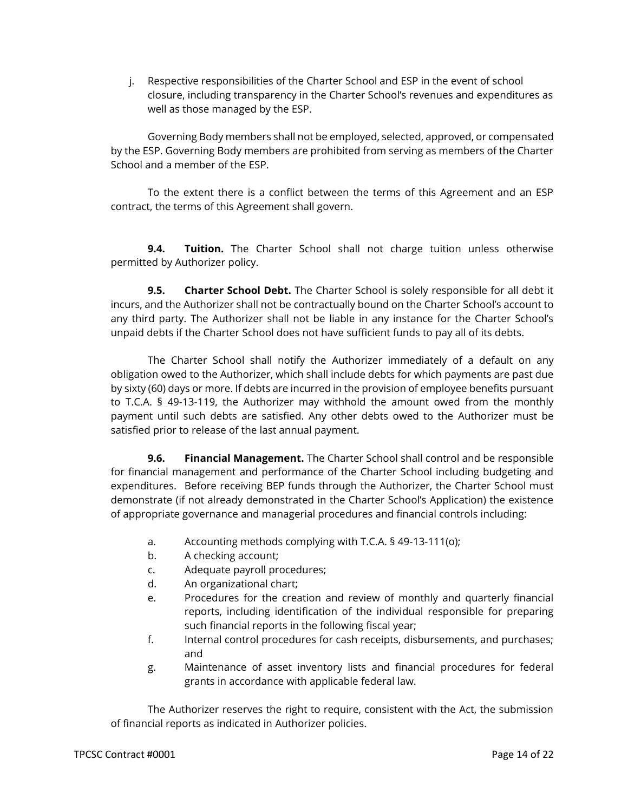j. Respective responsibilities of the Charter School and ESP in the event of school closure, including transparency in the Charter School's revenues and expenditures as well as those managed by the ESP.

Governing Body members shall not be employed, selected, approved, or compensated by the ESP. Governing Body members are prohibited from serving as members of the Charter School and a member of the ESP.

To the extent there is a conflict between the terms of this Agreement and an ESP contract, the terms of this Agreement shall govern.

**9.4. Tuition.** The Charter School shall not charge tuition unless otherwise permitted by Authorizer policy.

**9.5. Charter School Debt.** The Charter School is solely responsible for all debt it incurs, and the Authorizer shall not be contractually bound on the Charter School's account to any third party. The Authorizer shall not be liable in any instance for the Charter School's unpaid debts if the Charter School does not have sufficient funds to pay all of its debts.

The Charter School shall notify the Authorizer immediately of a default on any obligation owed to the Authorizer, which shall include debts for which payments are past due by sixty (60) days or more. If debts are incurred in the provision of employee benefits pursuant to T.C.A. § 49-13-119, the Authorizer may withhold the amount owed from the monthly payment until such debts are satisfied. Any other debts owed to the Authorizer must be satisfied prior to release of the last annual payment.

**9.6. Financial Management.** The Charter School shall control and be responsible for financial management and performance of the Charter School including budgeting and expenditures. Before receiving BEP funds through the Authorizer, the Charter School must demonstrate (if not already demonstrated in the Charter School's Application) the existence of appropriate governance and managerial procedures and financial controls including:

- a. Accounting methods complying with T.C.A. § 49-13-111(o);
- b. A checking account;
- c. Adequate payroll procedures;
- d. An organizational chart;
- e. Procedures for the creation and review of monthly and quarterly financial reports, including identification of the individual responsible for preparing such financial reports in the following fiscal year;
- f. Internal control procedures for cash receipts, disbursements, and purchases; and
- g. Maintenance of asset inventory lists and financial procedures for federal grants in accordance with applicable federal law.

The Authorizer reserves the right to require, consistent with the Act, the submission of financial reports as indicated in Authorizer policies.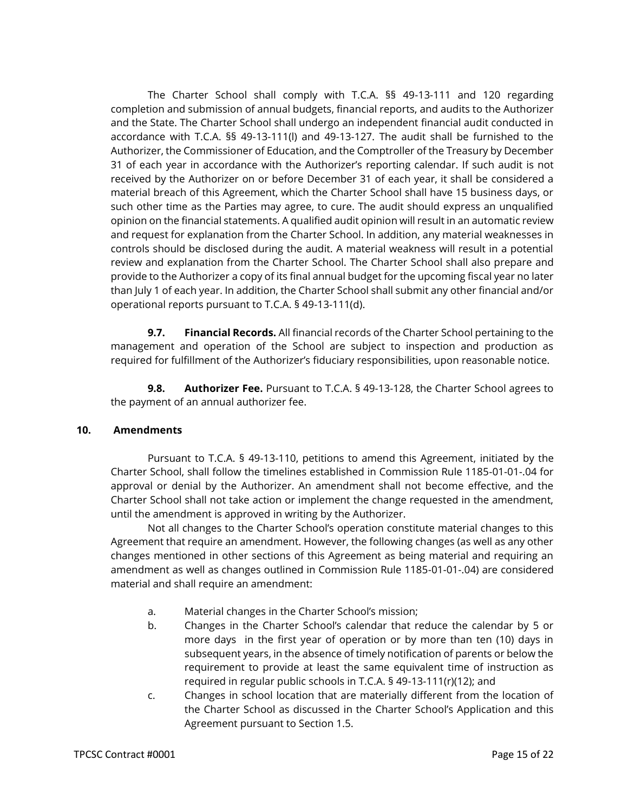The Charter School shall comply with T.C.A. §§ 49-13-111 and 120 regarding completion and submission of annual budgets, financial reports, and audits to the Authorizer and the State. The Charter School shall undergo an independent financial audit conducted in accordance with T.C.A. §§ 49-13-111(l) and 49-13-127. The audit shall be furnished to the Authorizer, the Commissioner of Education, and the Comptroller of the Treasury by December 31 of each year in accordance with the Authorizer's reporting calendar. If such audit is not received by the Authorizer on or before December 31 of each year, it shall be considered a material breach of this Agreement, which the Charter School shall have 15 business days, or such other time as the Parties may agree, to cure. The audit should express an unqualified opinion on the financial statements. A qualified audit opinion will result in an automatic review and request for explanation from the Charter School. In addition, any material weaknesses in controls should be disclosed during the audit. A material weakness will result in a potential review and explanation from the Charter School. The Charter School shall also prepare and provide to the Authorizer a copy of its final annual budget for the upcoming fiscal year no later than July 1 of each year. In addition, the Charter School shall submit any other financial and/or operational reports pursuant to T.C.A. § 49-13-111(d).

**9.7. Financial Records.** All financial records of the Charter School pertaining to the management and operation of the School are subject to inspection and production as required for fulfillment of the Authorizer's fiduciary responsibilities, upon reasonable notice.

**9.8.** Authorizer Fee. Pursuant to T.C.A. § 49-13-128, the Charter School agrees to the payment of an annual authorizer fee.

#### **10. Amendments**

Pursuant to T.C.A. § 49-13-110, petitions to amend this Agreement, initiated by the Charter School, shall follow the timelines established in Commission Rule 1185-01-01-.04 for approval or denial by the Authorizer. An amendment shall not become effective, and the Charter School shall not take action or implement the change requested in the amendment, until the amendment is approved in writing by the Authorizer.

Not all changes to the Charter School's operation constitute material changes to this Agreement that require an amendment. However, the following changes (as well as any other changes mentioned in other sections of this Agreement as being material and requiring an amendment as well as changes outlined in Commission Rule 1185-01-01-.04) are considered material and shall require an amendment:

- a. Material changes in the Charter School's mission;
- b. Changes in the Charter School's calendar that reduce the calendar by 5 or more days in the first year of operation or by more than ten (10) days in subsequent years, in the absence of timely notification of parents or below the requirement to provide at least the same equivalent time of instruction as required in regular public schools in T.C.A. § 49-13-111(r)(12); and
- c. Changes in school location that are materially different from the location of the Charter School as discussed in the Charter School's Application and this Agreement pursuant to Section 1.5.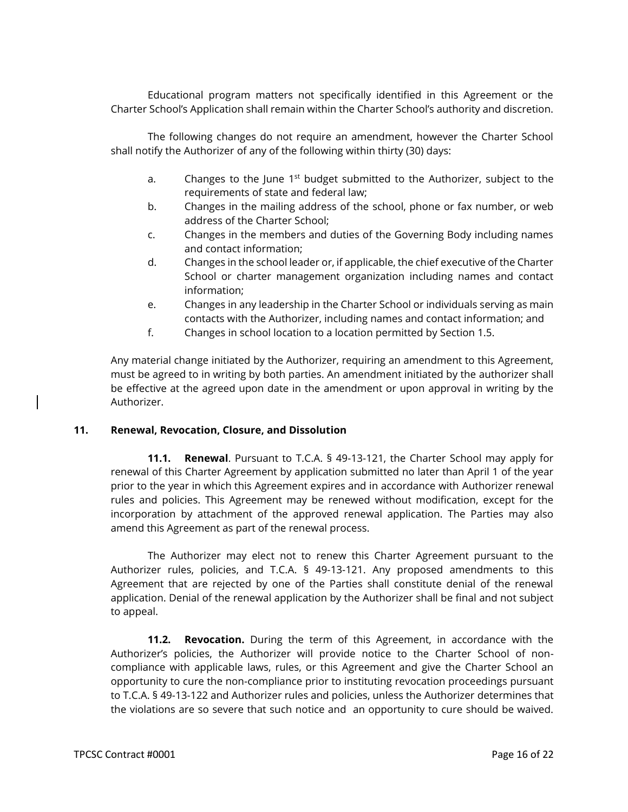Educational program matters not specifically identified in this Agreement or the Charter School's Application shall remain within the Charter School's authority and discretion.

The following changes do not require an amendment, however the Charter School shall notify the Authorizer of any of the following within thirty (30) days:

- a. Changes to the June  $1^{st}$  budget submitted to the Authorizer, subject to the requirements of state and federal law;
- b. Changes in the mailing address of the school, phone or fax number, or web address of the Charter School;
- c. Changes in the members and duties of the Governing Body including names and contact information;
- d. Changes in the school leader or, if applicable, the chief executive of the Charter School or charter management organization including names and contact information;
- e. Changes in any leadership in the Charter School or individuals serving as main contacts with the Authorizer, including names and contact information; and
- f. Changes in school location to a location permitted by Section 1.5.

Any material change initiated by the Authorizer, requiring an amendment to this Agreement, must be agreed to in writing by both parties. An amendment initiated by the authorizer shall be effective at the agreed upon date in the amendment or upon approval in writing by the Authorizer.

### **11. Renewal, Revocation, Closure, and Dissolution**

**11.1. Renewal**. Pursuant to T.C.A. § 49-13-121, the Charter School may apply for renewal of this Charter Agreement by application submitted no later than April 1 of the year prior to the year in which this Agreement expires and in accordance with Authorizer renewal rules and policies. This Agreement may be renewed without modification, except for the incorporation by attachment of the approved renewal application. The Parties may also amend this Agreement as part of the renewal process.

The Authorizer may elect not to renew this Charter Agreement pursuant to the Authorizer rules, policies, and T.C.A. § 49-13-121. Any proposed amendments to this Agreement that are rejected by one of the Parties shall constitute denial of the renewal application. Denial of the renewal application by the Authorizer shall be final and not subject to appeal.

**11.2. Revocation.** During the term of this Agreement, in accordance with the Authorizer's policies, the Authorizer will provide notice to the Charter School of noncompliance with applicable laws, rules, or this Agreement and give the Charter School an opportunity to cure the non-compliance prior to instituting revocation proceedings pursuant to T.C.A. § 49-13-122 and Authorizer rules and policies, unless the Authorizer determines that the violations are so severe that such notice and an opportunity to cure should be waived.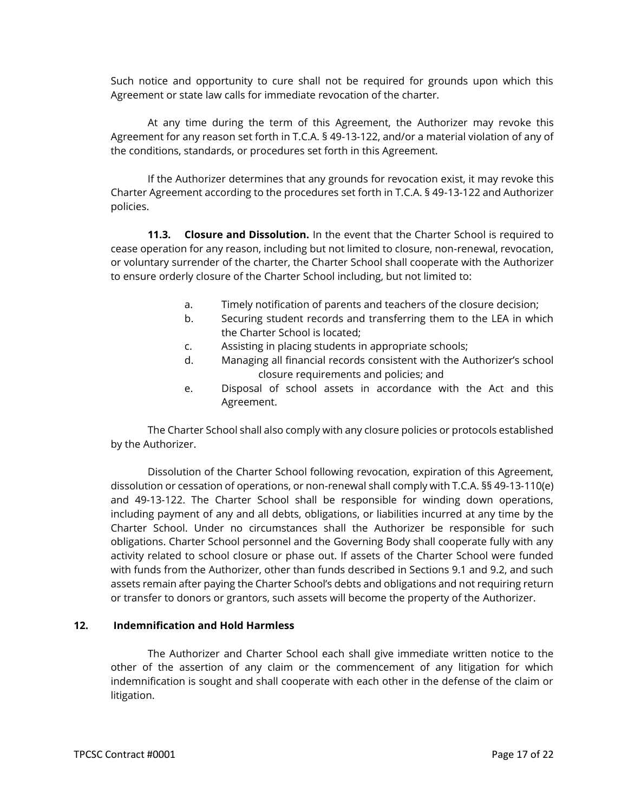Such notice and opportunity to cure shall not be required for grounds upon which this Agreement or state law calls for immediate revocation of the charter.

At any time during the term of this Agreement, the Authorizer may revoke this Agreement for any reason set forth in T.C.A. § 49-13-122, and/or a material violation of any of the conditions, standards, or procedures set forth in this Agreement.

If the Authorizer determines that any grounds for revocation exist, it may revoke this Charter Agreement according to the procedures set forth in T.C.A. § 49-13-122 and Authorizer policies.

**11.3. Closure and Dissolution.** In the event that the Charter School is required to cease operation for any reason, including but not limited to closure, non-renewal, revocation, or voluntary surrender of the charter, the Charter School shall cooperate with the Authorizer to ensure orderly closure of the Charter School including, but not limited to:

- a. Timely notification of parents and teachers of the closure decision;
- b. Securing student records and transferring them to the LEA in which the Charter School is located;
- c. Assisting in placing students in appropriate schools;
- d. Managing all financial records consistent with the Authorizer's school closure requirements and policies; and
- e. Disposal of school assets in accordance with the Act and this Agreement.

The Charter School shall also comply with any closure policies or protocols established by the Authorizer.

Dissolution of the Charter School following revocation, expiration of this Agreement, dissolution or cessation of operations, or non-renewal shall comply with T.C.A. §§ 49-13-110(e) and 49-13-122. The Charter School shall be responsible for winding down operations, including payment of any and all debts, obligations, or liabilities incurred at any time by the Charter School. Under no circumstances shall the Authorizer be responsible for such obligations. Charter School personnel and the Governing Body shall cooperate fully with any activity related to school closure or phase out. If assets of the Charter School were funded with funds from the Authorizer, other than funds described in Sections 9.1 and 9.2, and such assets remain after paying the Charter School's debts and obligations and not requiring return or transfer to donors or grantors, such assets will become the property of the Authorizer.

#### **12. Indemnification and Hold Harmless**

The Authorizer and Charter School each shall give immediate written notice to the other of the assertion of any claim or the commencement of any litigation for which indemnification is sought and shall cooperate with each other in the defense of the claim or litigation.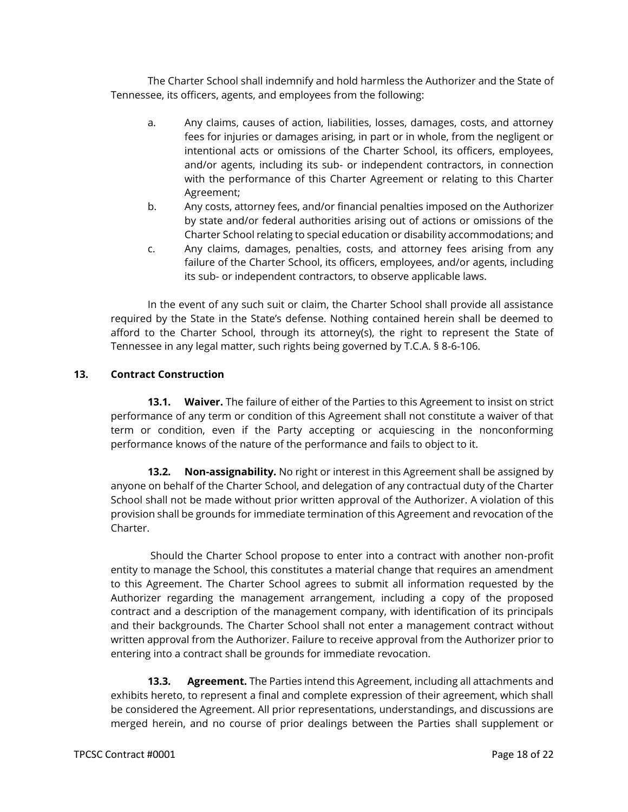The Charter School shall indemnify and hold harmless the Authorizer and the State of Tennessee, its officers, agents, and employees from the following:

- a. Any claims, causes of action, liabilities, losses, damages, costs, and attorney fees for injuries or damages arising, in part or in whole, from the negligent or intentional acts or omissions of the Charter School, its officers, employees, and/or agents, including its sub- or independent contractors, in connection with the performance of this Charter Agreement or relating to this Charter Agreement;
- b. Any costs, attorney fees, and/or financial penalties imposed on the Authorizer by state and/or federal authorities arising out of actions or omissions of the Charter School relating to special education or disability accommodations; and
- c. Any claims, damages, penalties, costs, and attorney fees arising from any failure of the Charter School, its officers, employees, and/or agents, including its sub- or independent contractors, to observe applicable laws.

In the event of any such suit or claim, the Charter School shall provide all assistance required by the State in the State's defense. Nothing contained herein shall be deemed to afford to the Charter School, through its attorney(s), the right to represent the State of Tennessee in any legal matter, such rights being governed by T.C.A. § 8-6-106.

# **13. Contract Construction**

**13.1. Waiver.** The failure of either of the Parties to this Agreement to insist on strict performance of any term or condition of this Agreement shall not constitute a waiver of that term or condition, even if the Party accepting or acquiescing in the nonconforming performance knows of the nature of the performance and fails to object to it.

**13.2. Non-assignability.** No right or interest in this Agreement shall be assigned by anyone on behalf of the Charter School, and delegation of any contractual duty of the Charter School shall not be made without prior written approval of the Authorizer. A violation of this provision shall be grounds for immediate termination of this Agreement and revocation of the Charter.

Should the Charter School propose to enter into a contract with another non-profit entity to manage the School, this constitutes a material change that requires an amendment to this Agreement. The Charter School agrees to submit all information requested by the Authorizer regarding the management arrangement, including a copy of the proposed contract and a description of the management company, with identification of its principals and their backgrounds. The Charter School shall not enter a management contract without written approval from the Authorizer. Failure to receive approval from the Authorizer prior to entering into a contract shall be grounds for immediate revocation.

**13.3. Agreement.** The Parties intend this Agreement, including all attachments and exhibits hereto, to represent a final and complete expression of their agreement, which shall be considered the Agreement. All prior representations, understandings, and discussions are merged herein, and no course of prior dealings between the Parties shall supplement or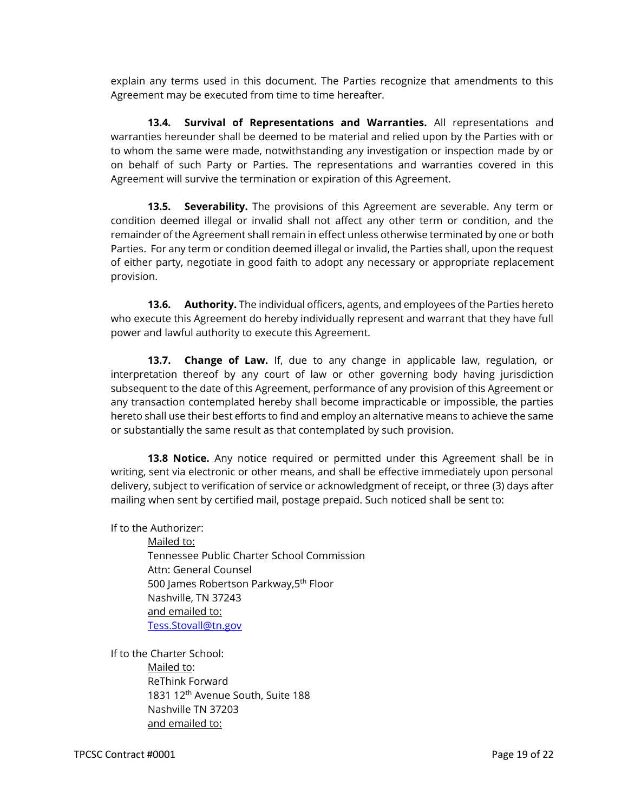explain any terms used in this document. The Parties recognize that amendments to this Agreement may be executed from time to time hereafter.

**13.4. Survival of Representations and Warranties.** All representations and warranties hereunder shall be deemed to be material and relied upon by the Parties with or to whom the same were made, notwithstanding any investigation or inspection made by or on behalf of such Party or Parties. The representations and warranties covered in this Agreement will survive the termination or expiration of this Agreement.

**13.5. Severability.** The provisions of this Agreement are severable. Any term or condition deemed illegal or invalid shall not affect any other term or condition, and the remainder of the Agreement shall remain in effect unless otherwise terminated by one or both Parties. For any term or condition deemed illegal or invalid, the Parties shall, upon the request of either party, negotiate in good faith to adopt any necessary or appropriate replacement provision.

**13.6. Authority.** The individual officers, agents, and employees of the Parties hereto who execute this Agreement do hereby individually represent and warrant that they have full power and lawful authority to execute this Agreement.

**13.7. Change of Law.** If, due to any change in applicable law, regulation, or interpretation thereof by any court of law or other governing body having jurisdiction subsequent to the date of this Agreement, performance of any provision of this Agreement or any transaction contemplated hereby shall become impracticable or impossible, the parties hereto shall use their best efforts to find and employ an alternative means to achieve the same or substantially the same result as that contemplated by such provision.

**13.8 Notice.** Any notice required or permitted under this Agreement shall be in writing, sent via electronic or other means, and shall be effective immediately upon personal delivery, subject to verification of service or acknowledgment of receipt, or three (3) days after mailing when sent by certified mail, postage prepaid. Such noticed shall be sent to:

If to the Authorizer:

Mailed to:

Tennessee Public Charter School Commission Attn: General Counsel 500 James Robertson Parkway,5<sup>th</sup> Floor Nashville, TN 37243 and emailed to: [Tess.Stovall@tn.gov](mailto:Tess.Stovall@tn.gov)

If to the Charter School: Mailed to: ReThink Forward 1831 12th Avenue South, Suite 188 Nashville TN 37203 and emailed to: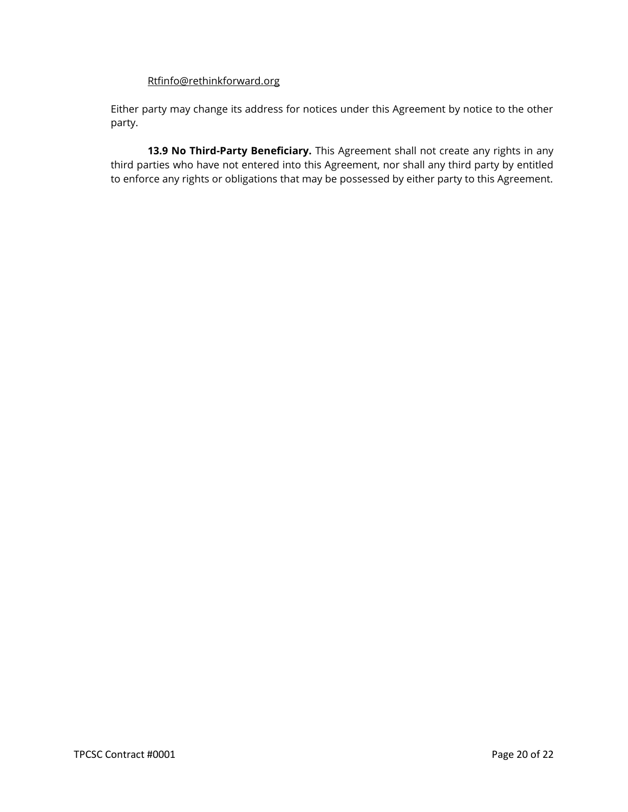# Rtfinfo@rethinkforward.org

Either party may change its address for notices under this Agreement by notice to the other party.

**13.9 No Third-Party Beneficiary.** This Agreement shall not create any rights in any third parties who have not entered into this Agreement, nor shall any third party by entitled to enforce any rights or obligations that may be possessed by either party to this Agreement.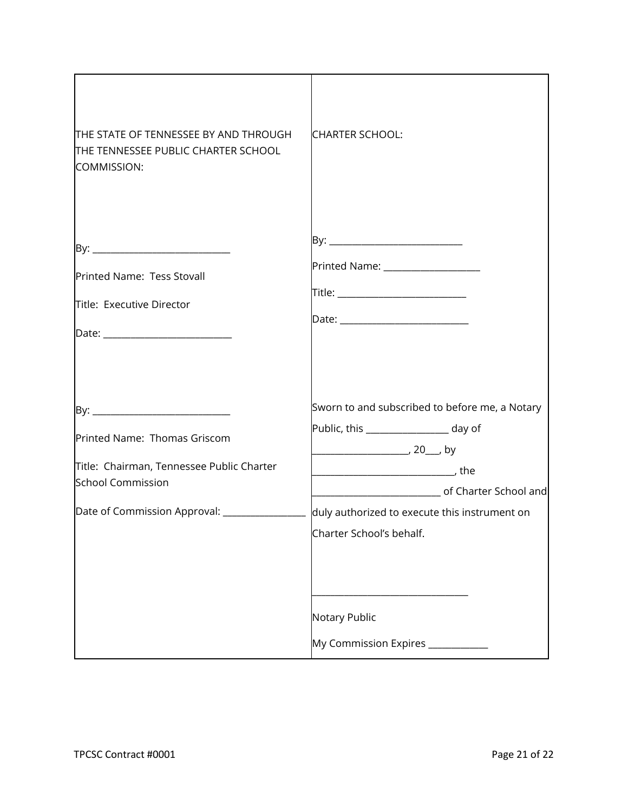| THE STATE OF TENNESSEE BY AND THROUGH<br>THE TENNESSEE PUBLIC CHARTER SCHOOL<br>COMMISSION:                                                           | <b>CHARTER SCHOOL:</b>                                                                                                                                                 |
|-------------------------------------------------------------------------------------------------------------------------------------------------------|------------------------------------------------------------------------------------------------------------------------------------------------------------------------|
| Printed Name: Tess Stovall<br>Title: Executive Director                                                                                               | Printed Name: ____________________                                                                                                                                     |
| Printed Name: Thomas Griscom<br>Title: Chairman, Tennessee Public Charter<br><b>School Commission</b><br>Date of Commission Approval: _______________ | Sworn to and subscribed to before me, a Notary<br>Public, this ___________________ day of<br>duly authorized to execute this instrument on<br>Charter School's behalf. |
|                                                                                                                                                       | Notary Public<br>My Commission Expires _________                                                                                                                       |